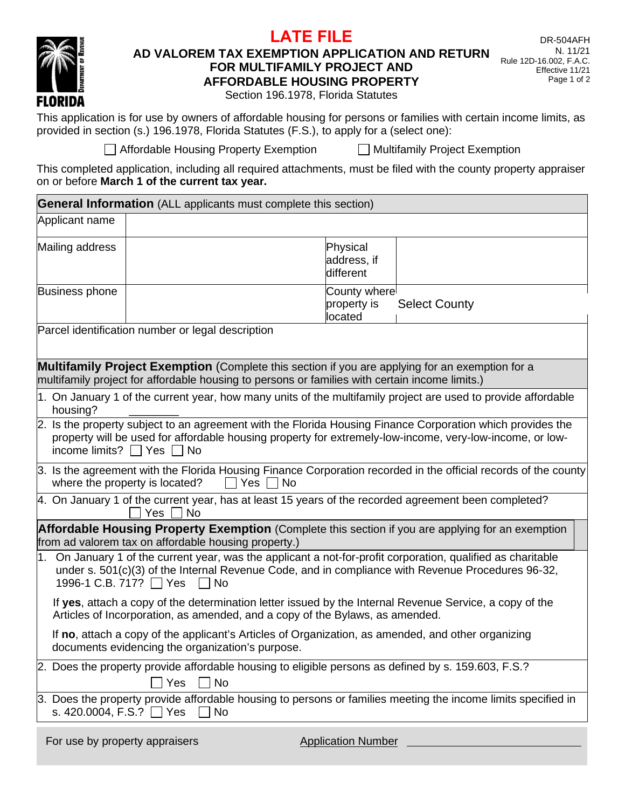## RIDA

Ē

## **AD VALOREM TAX EXEMPTION APPLICATION AND RETURN FOR MULTIFAMILY PROJECT AND AFFORDABLE HOUSING PROPERTY**

**LATE FILE**

Section 196.1978, Florida Statutes

This application is for use by owners of affordable housing for persons or families with certain income limits, as provided in section (s.) 196.1978, Florida Statutes (F.S.), to apply for a (select one):

 $\Box$  Affordable Housing Property Exemption  $\Box$  Multifamily Project Exemption

This completed application, including all required attachments, must be filed with the county property appraiser on or before **March 1 of the current tax year.**

|                                                                                                                                                                                                                                                               | <b>General Information</b> (ALL applicants must complete this section) |                                                                                                                                                                                                   |  |  |  |  |  |  |
|---------------------------------------------------------------------------------------------------------------------------------------------------------------------------------------------------------------------------------------------------------------|------------------------------------------------------------------------|---------------------------------------------------------------------------------------------------------------------------------------------------------------------------------------------------|--|--|--|--|--|--|
| Applicant name                                                                                                                                                                                                                                                |                                                                        |                                                                                                                                                                                                   |  |  |  |  |  |  |
| Mailing address                                                                                                                                                                                                                                               |                                                                        | Physical<br>address, if<br>different                                                                                                                                                              |  |  |  |  |  |  |
| <b>Business phone</b>                                                                                                                                                                                                                                         |                                                                        | County where<br><b>Select County</b><br>property is<br>located                                                                                                                                    |  |  |  |  |  |  |
|                                                                                                                                                                                                                                                               | Parcel identification number or legal description                      |                                                                                                                                                                                                   |  |  |  |  |  |  |
|                                                                                                                                                                                                                                                               |                                                                        | Multifamily Project Exemption (Complete this section if you are applying for an exemption for a<br>multifamily project for affordable housing to persons or families with certain income limits.) |  |  |  |  |  |  |
| housing?                                                                                                                                                                                                                                                      |                                                                        | 1. On January 1 of the current year, how many units of the multifamily project are used to provide affordable                                                                                     |  |  |  |  |  |  |
| 2. Is the property subject to an agreement with the Florida Housing Finance Corporation which provides the<br>property will be used for affordable housing property for extremely-low-income, very-low-income, or low-<br>income limits? $\Box$ Yes $\Box$ No |                                                                        |                                                                                                                                                                                                   |  |  |  |  |  |  |
| 3. Is the agreement with the Florida Housing Finance Corporation recorded in the official records of the county<br>where the property is located?<br><b>Yes</b><br>No                                                                                         |                                                                        |                                                                                                                                                                                                   |  |  |  |  |  |  |
| 4. On January 1 of the current year, has at least 15 years of the recorded agreement been completed?<br>Yes<br><b>No</b>                                                                                                                                      |                                                                        |                                                                                                                                                                                                   |  |  |  |  |  |  |
|                                                                                                                                                                                                                                                               | from ad valorem tax on affordable housing property.)                   | <b>Affordable Housing Property Exemption</b> (Complete this section if you are applying for an exemption                                                                                          |  |  |  |  |  |  |
| 1. On January 1 of the current year, was the applicant a not-for-profit corporation, qualified as charitable<br>under s. 501(c)(3) of the Internal Revenue Code, and in compliance with Revenue Procedures 96-32,<br>1996-1 C.B. 717? ■ Yes<br>∣No            |                                                                        |                                                                                                                                                                                                   |  |  |  |  |  |  |
| If yes, attach a copy of the determination letter issued by the Internal Revenue Service, a copy of the<br>Articles of Incorporation, as amended, and a copy of the Bylaws, as amended.                                                                       |                                                                        |                                                                                                                                                                                                   |  |  |  |  |  |  |
|                                                                                                                                                                                                                                                               | documents evidencing the organization's purpose.                       | If no, attach a copy of the applicant's Articles of Organization, as amended, and other organizing                                                                                                |  |  |  |  |  |  |
|                                                                                                                                                                                                                                                               | Yes<br>$\blacksquare$ No                                               | 2. Does the property provide affordable housing to eligible persons as defined by s. 159.603, F.S.?                                                                                               |  |  |  |  |  |  |
| s. 420.0004, F.S.? $\Box$ Yes                                                                                                                                                                                                                                 | No                                                                     | 3. Does the property provide affordable housing to persons or families meeting the income limits specified in                                                                                     |  |  |  |  |  |  |
| For use by property appraisers                                                                                                                                                                                                                                |                                                                        | <b>Application Number</b>                                                                                                                                                                         |  |  |  |  |  |  |